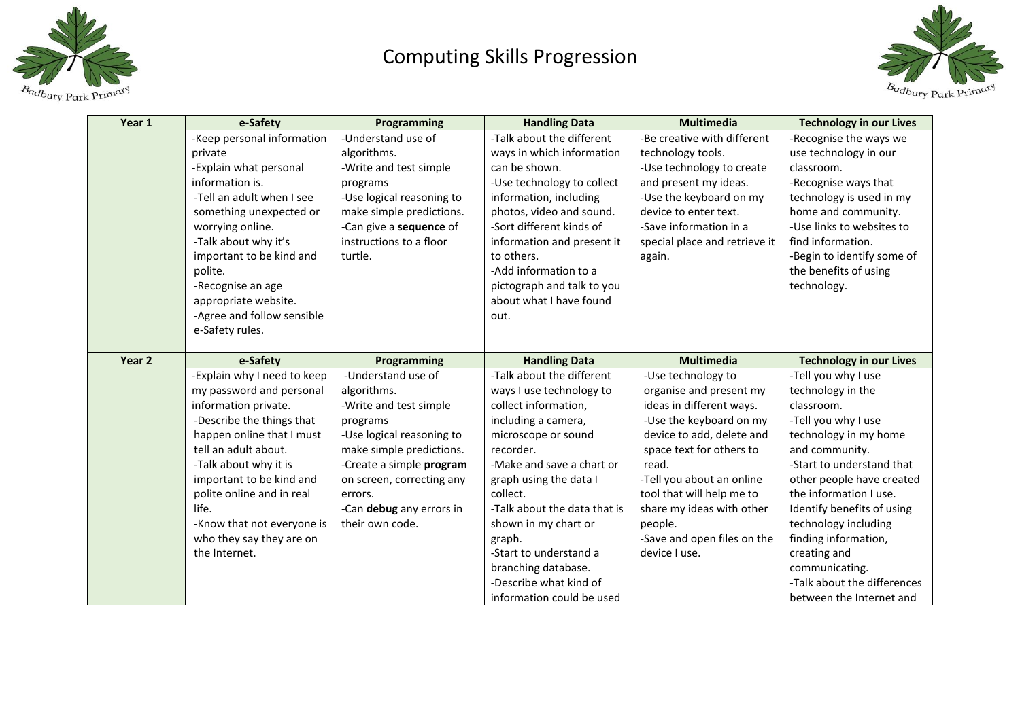

## Computing Skills Progression



| Year 1 | e-Safety                    | Programming               | <b>Handling Data</b>         | Multimedia                    | <b>Technology in our Lives</b> |
|--------|-----------------------------|---------------------------|------------------------------|-------------------------------|--------------------------------|
|        | -Keep personal information  | -Understand use of        | -Talk about the different    | -Be creative with different   | -Recognise the ways we         |
|        | private                     | algorithms.               | ways in which information    | technology tools.             | use technology in our          |
|        | -Explain what personal      | -Write and test simple    | can be shown.                | -Use technology to create     | classroom.                     |
|        | information is.             | programs                  | -Use technology to collect   | and present my ideas.         | -Recognise ways that           |
|        | -Tell an adult when I see   | -Use logical reasoning to | information, including       | -Use the keyboard on my       | technology is used in my       |
|        | something unexpected or     | make simple predictions.  | photos, video and sound.     | device to enter text.         | home and community.            |
|        | worrying online.            | -Can give a sequence of   | -Sort different kinds of     | -Save information in a        | -Use links to websites to      |
|        | -Talk about why it's        | instructions to a floor   | information and present it   | special place and retrieve it | find information.              |
|        | important to be kind and    | turtle.                   | to others.                   | again.                        | -Begin to identify some of     |
|        | polite.                     |                           | -Add information to a        |                               | the benefits of using          |
|        | -Recognise an age           |                           | pictograph and talk to you   |                               | technology.                    |
|        | appropriate website.        |                           | about what I have found      |                               |                                |
|        | -Agree and follow sensible  |                           | out.                         |                               |                                |
|        | e-Safety rules.             |                           |                              |                               |                                |
|        |                             |                           |                              |                               |                                |
| Year 2 | e-Safety                    | Programming               | <b>Handling Data</b>         | <b>Multimedia</b>             | <b>Technology in our Lives</b> |
|        | -Explain why I need to keep | -Understand use of        | -Talk about the different    | -Use technology to            | -Tell you why I use            |
|        | my password and personal    | algorithms.               | ways I use technology to     | organise and present my       | technology in the              |
|        | information private.        | -Write and test simple    | collect information,         | ideas in different ways.      | classroom.                     |
|        | -Describe the things that   | programs                  | including a camera,          | -Use the keyboard on my       | -Tell you why I use            |
|        | happen online that I must   | -Use logical reasoning to | microscope or sound          | device to add, delete and     | technology in my home          |
|        | tell an adult about.        | make simple predictions.  | recorder.                    | space text for others to      | and community.                 |
|        | -Talk about why it is       | -Create a simple program  | -Make and save a chart or    | read.                         | -Start to understand that      |
|        | important to be kind and    | on screen, correcting any | graph using the data I       | -Tell you about an online     | other people have created      |
|        | polite online and in real   | errors.                   | collect.                     | tool that will help me to     | the information I use.         |
|        | life.                       | -Can debug any errors in  | -Talk about the data that is | share my ideas with other     | Identify benefits of using     |
|        | -Know that not everyone is  | their own code.           | shown in my chart or         | people.                       | technology including           |
|        | who they say they are on    |                           | graph.                       | -Save and open files on the   | finding information,           |
|        | the Internet.               |                           | -Start to understand a       | device I use.                 | creating and                   |
|        |                             |                           | branching database.          |                               | communicating.                 |
|        |                             |                           | -Describe what kind of       |                               | -Talk about the differences    |
|        |                             |                           | information could be used    |                               | between the Internet and       |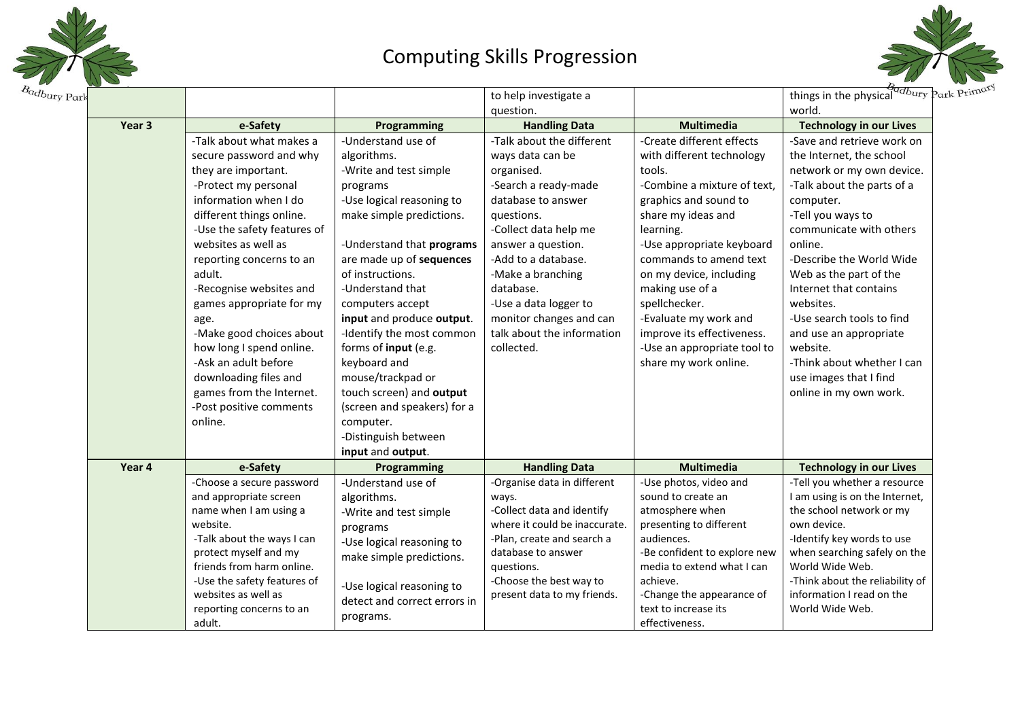

## Computing Skills Progression



|        |                             |                              | to help investigate a         |                              | things in the physical data Park Pri |
|--------|-----------------------------|------------------------------|-------------------------------|------------------------------|--------------------------------------|
|        |                             |                              | question.                     |                              | world.                               |
| Year 3 | e-Safety                    | Programming                  | <b>Handling Data</b>          | <b>Multimedia</b>            | <b>Technology in our Lives</b>       |
|        | -Talk about what makes a    | -Understand use of           | -Talk about the different     | -Create different effects    | -Save and retrieve work on           |
|        | secure password and why     | algorithms.                  | ways data can be              | with different technology    | the Internet, the school             |
|        | they are important.         | -Write and test simple       | organised.                    | tools.                       | network or my own device.            |
|        | -Protect my personal        | programs                     | -Search a ready-made          | -Combine a mixture of text,  | -Talk about the parts of a           |
|        | information when I do       | -Use logical reasoning to    | database to answer            | graphics and sound to        | computer.                            |
|        | different things online.    | make simple predictions.     | questions.                    | share my ideas and           | -Tell you ways to                    |
|        | -Use the safety features of |                              | -Collect data help me         | learning.                    | communicate with others              |
|        | websites as well as         | -Understand that programs    | answer a question.            | -Use appropriate keyboard    | online.                              |
|        | reporting concerns to an    | are made up of sequences     | -Add to a database.           | commands to amend text       | -Describe the World Wide             |
|        | adult.                      | of instructions.             | -Make a branching             | on my device, including      | Web as the part of the               |
|        | -Recognise websites and     | -Understand that             | database.                     | making use of a              | Internet that contains               |
|        | games appropriate for my    | computers accept             | -Use a data logger to         | spellchecker.                | websites.                            |
|        | age.                        | input and produce output.    | monitor changes and can       | -Evaluate my work and        | -Use search tools to find            |
|        | -Make good choices about    | -Identify the most common    | talk about the information    | improve its effectiveness.   | and use an appropriate               |
|        | how long I spend online.    | forms of input (e.g.         | collected.                    | -Use an appropriate tool to  | website.                             |
|        | -Ask an adult before        | keyboard and                 |                               | share my work online.        | -Think about whether I can           |
|        | downloading files and       | mouse/trackpad or            |                               |                              | use images that I find               |
|        | games from the Internet.    | touch screen) and output     |                               |                              | online in my own work.               |
|        | -Post positive comments     | (screen and speakers) for a  |                               |                              |                                      |
|        | online.                     | computer.                    |                               |                              |                                      |
|        |                             | -Distinguish between         |                               |                              |                                      |
|        |                             | input and output.            |                               |                              |                                      |
| Year 4 | e-Safety                    | Programming                  | <b>Handling Data</b>          | <b>Multimedia</b>            | <b>Technology in our Lives</b>       |
|        | -Choose a secure password   | -Understand use of           | -Organise data in different   | -Use photos, video and       | -Tell you whether a resource         |
|        | and appropriate screen      | algorithms.                  | ways.                         | sound to create an           | I am using is on the Internet,       |
|        | name when I am using a      | -Write and test simple       | -Collect data and identify    | atmosphere when              | the school network or my             |
|        | website.                    | programs                     | where it could be inaccurate. | presenting to different      | own device.                          |
|        | -Talk about the ways I can  | -Use logical reasoning to    | -Plan, create and search a    | audiences.                   | -Identify key words to use           |
|        | protect myself and my       | make simple predictions.     | database to answer            | -Be confident to explore new | when searching safely on the         |
|        | friends from harm online.   |                              | questions.                    | media to extend what I can   | World Wide Web.                      |
|        | -Use the safety features of | -Use logical reasoning to    | -Choose the best way to       | achieve.                     | -Think about the reliability of      |
|        | websites as well as         | detect and correct errors in | present data to my friends.   | -Change the appearance of    | information I read on the            |
|        | reporting concerns to an    | programs.                    |                               | text to increase its         | World Wide Web.                      |
|        | adult.                      |                              |                               | effectiveness.               |                                      |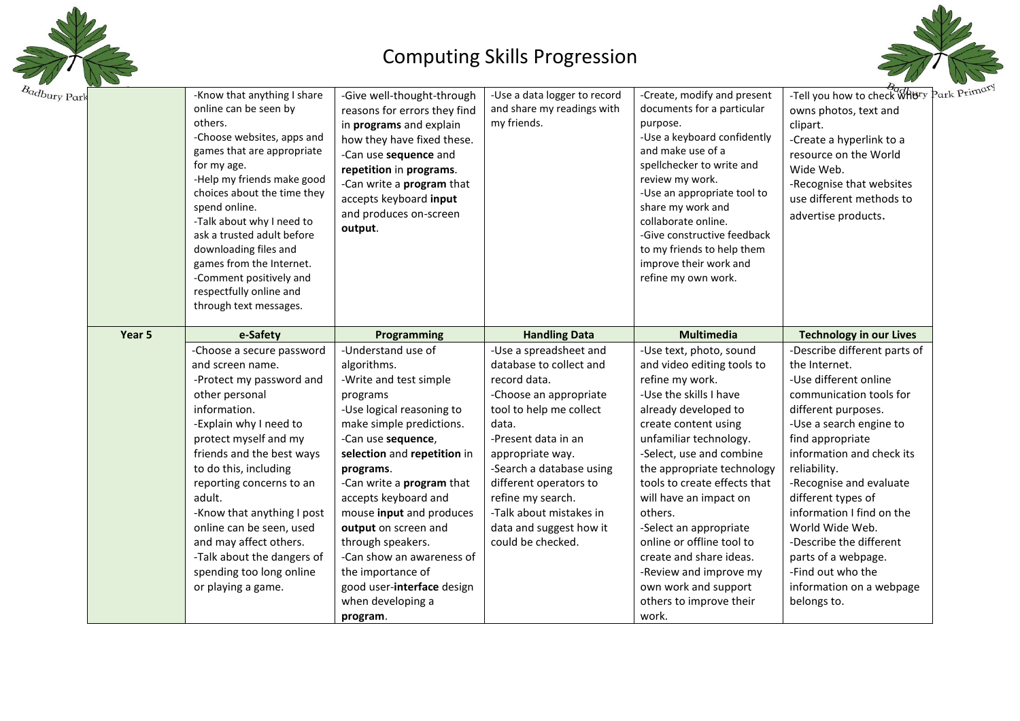

## Computing Skills Progression



| dbury Park | -Know that anything I share<br>online can be seen by<br>others.<br>-Choose websites, apps and<br>games that are appropriate<br>for my age.<br>-Help my friends make good<br>choices about the time they<br>spend online.<br>-Talk about why I need to<br>ask a trusted adult before<br>downloading files and<br>games from the Internet.<br>-Comment positively and<br>respectfully online and<br>through text messages.       | -Give well-thought-through<br>reasons for errors they find<br>in programs and explain<br>how they have fixed these.<br>-Can use sequence and<br>repetition in programs.<br>-Can write a <b>program</b> that<br>accepts keyboard input<br>and produces on-screen<br>output.                                                                                                                                                                        | -Use a data logger to record<br>and share my readings with<br>my friends.                                                                                                                                                                                                                                                        | -Create, modify and present<br>documents for a particular<br>purpose.<br>-Use a keyboard confidently<br>and make use of a<br>spellchecker to write and<br>review my work.<br>-Use an appropriate tool to<br>share my work and<br>collaborate online.<br>-Give constructive feedback<br>to my friends to help them<br>improve their work and<br>refine my own work.                                                                                                                  | Park Prin<br>-Tell you how to check WRBry<br>owns photos, text and<br>clipart.<br>-Create a hyperlink to a<br>resource on the World<br>Wide Web.<br>-Recognise that websites<br>use different methods to<br>advertise products.                                                                                                                                                                                                         |
|------------|--------------------------------------------------------------------------------------------------------------------------------------------------------------------------------------------------------------------------------------------------------------------------------------------------------------------------------------------------------------------------------------------------------------------------------|---------------------------------------------------------------------------------------------------------------------------------------------------------------------------------------------------------------------------------------------------------------------------------------------------------------------------------------------------------------------------------------------------------------------------------------------------|----------------------------------------------------------------------------------------------------------------------------------------------------------------------------------------------------------------------------------------------------------------------------------------------------------------------------------|-------------------------------------------------------------------------------------------------------------------------------------------------------------------------------------------------------------------------------------------------------------------------------------------------------------------------------------------------------------------------------------------------------------------------------------------------------------------------------------|-----------------------------------------------------------------------------------------------------------------------------------------------------------------------------------------------------------------------------------------------------------------------------------------------------------------------------------------------------------------------------------------------------------------------------------------|
| Year 5     | e-Safety                                                                                                                                                                                                                                                                                                                                                                                                                       | Programming                                                                                                                                                                                                                                                                                                                                                                                                                                       | <b>Handling Data</b>                                                                                                                                                                                                                                                                                                             | <b>Multimedia</b>                                                                                                                                                                                                                                                                                                                                                                                                                                                                   | <b>Technology in our Lives</b>                                                                                                                                                                                                                                                                                                                                                                                                          |
|            | -Choose a secure password<br>and screen name.<br>-Protect my password and<br>other personal<br>information.<br>-Explain why I need to<br>protect myself and my<br>friends and the best ways<br>to do this, including<br>reporting concerns to an<br>adult.<br>-Know that anything I post<br>online can be seen, used<br>and may affect others.<br>-Talk about the dangers of<br>spending too long online<br>or playing a game. | -Understand use of<br>algorithms.<br>-Write and test simple<br>programs<br>-Use logical reasoning to<br>make simple predictions.<br>-Can use sequence,<br>selection and repetition in<br>programs.<br>-Can write a program that<br>accepts keyboard and<br>mouse input and produces<br>output on screen and<br>through speakers.<br>-Can show an awareness of<br>the importance of<br>good user-interface design<br>when developing a<br>program. | -Use a spreadsheet and<br>database to collect and<br>record data.<br>-Choose an appropriate<br>tool to help me collect<br>data.<br>-Present data in an<br>appropriate way.<br>-Search a database using<br>different operators to<br>refine my search.<br>-Talk about mistakes in<br>data and suggest how it<br>could be checked. | -Use text, photo, sound<br>and video editing tools to<br>refine my work.<br>-Use the skills I have<br>already developed to<br>create content using<br>unfamiliar technology.<br>-Select, use and combine<br>the appropriate technology<br>tools to create effects that<br>will have an impact on<br>others.<br>-Select an appropriate<br>online or offline tool to<br>create and share ideas.<br>-Review and improve my<br>own work and support<br>others to improve their<br>work. | -Describe different parts of<br>the Internet.<br>-Use different online<br>communication tools for<br>different purposes.<br>-Use a search engine to<br>find appropriate<br>information and check its<br>reliability.<br>-Recognise and evaluate<br>different types of<br>information I find on the<br>World Wide Web.<br>-Describe the different<br>parts of a webpage.<br>-Find out who the<br>information on a webpage<br>belongs to. |